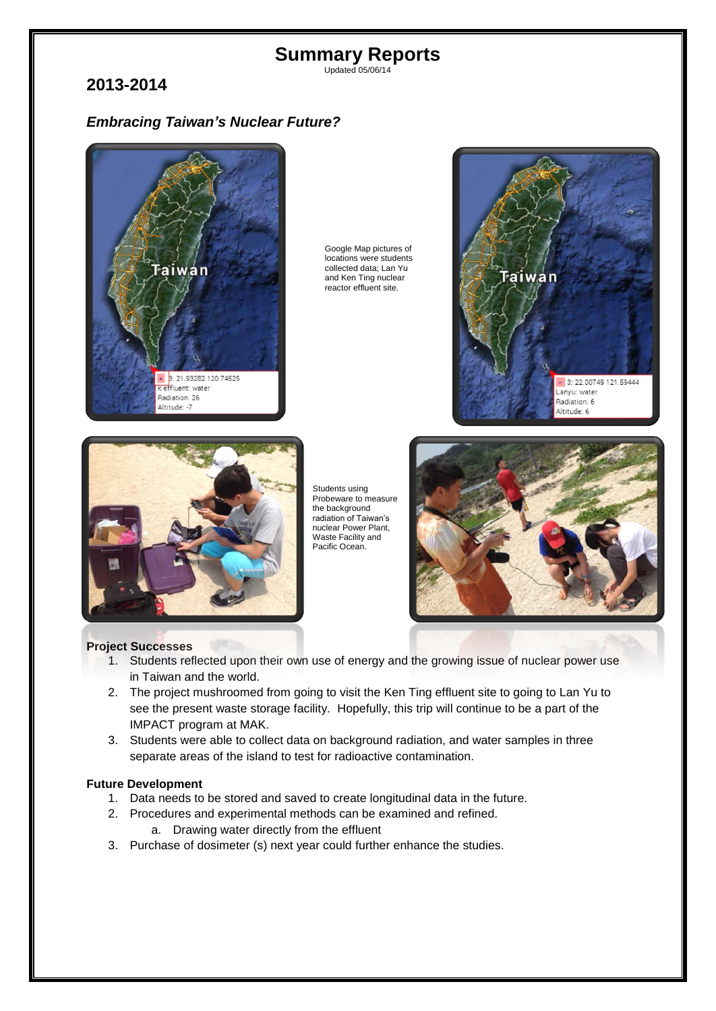# **Summary Reports**

Updated 05/06/14

# **2013-2014**

## *Embracing Taiwan's Nuclear Future?*



Google Map pictures of locations were students collected data; Lan Yu and Ken Ting nuclear reactor effluent site.





Students using Probeware to measure the background radiation of Taiwan's nuclear Power Plant, Waste Facility and Pacific Ocean.



### **Project Successes**

- 1. Students reflected upon their own use of energy and the growing issue of nuclear power use in Taiwan and the world.
- 2. The project mushroomed from going to visit the Ken Ting effluent site to going to Lan Yu to see the present waste storage facility. Hopefully, this trip will continue to be a part of the IMPACT program at MAK.
- 3. Students were able to collect data on background radiation, and water samples in three separate areas of the island to test for radioactive contamination.

#### **Future Development**

- 1. Data needs to be stored and saved to create longitudinal data in the future.
- 2. Procedures and experimental methods can be examined and refined.
	- a. Drawing water directly from the effluent
- 3. Purchase of dosimeter (s) next year could further enhance the studies.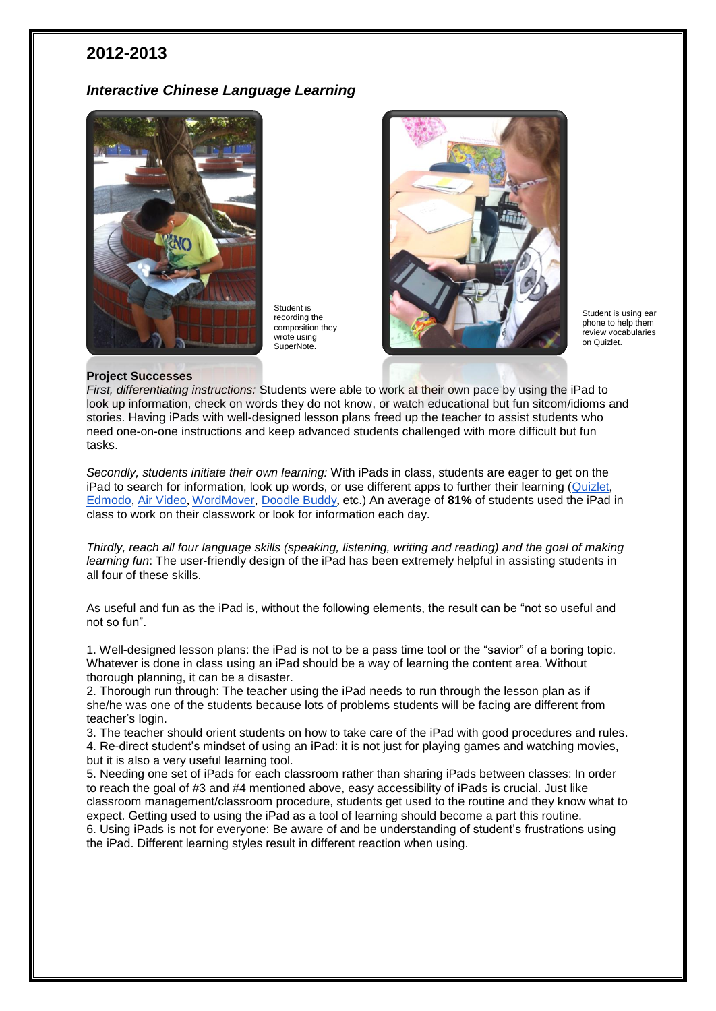### **2012-2013**

#### *Interactive Chinese Language Learning*



Student is recording the composition they wrote using **SuperNote** 



Student is using ear phone to help them review vocabularies on Quizlet.

#### **Project Successes**

*First, differentiating instructions:* Students were able to work at their own pace by using the iPad to look up information, check on words they do not know, or watch educational but fun sitcom/idioms and stories. Having iPads with well-designed lesson plans freed up the teacher to assist students who need one-on-one instructions and keep advanced students challenged with more difficult but fun tasks.

*Secondly, students initiate their own learning:* With iPads in class, students are eager to get on the iPad to search for information, look up words, or use different apps to further their learning [\(Quizlet](http://quizlet.com/), [Edmodo,](http://www.edmodo.com/) [Air Video](http://www.inmethod.com/air-video/index.html;jsessionid=E2584C299A4D8B1A4E9A280C8D18CF30), [WordMover,](https://itunes.apple.com/us/app/word-mover/id572997152?mt=8) [Doodle Buddy](https://itunes.apple.com/en/app/doodle-buddy-paint-draw-scribble/id313232441?mt=8), etc.) An average of **81%** of students used the iPad in class to work on their classwork or look for information each day.

*Thirdly, reach all four language skills (speaking, listening, writing and reading) and the goal of making learning fun*: The user-friendly design of the iPad has been extremely helpful in assisting students in all four of these skills.

As useful and fun as the iPad is, without the following elements, the result can be "not so useful and not so fun".

1. Well-designed lesson plans: the iPad is not to be a pass time tool or the "savior" of a boring topic. Whatever is done in class using an iPad should be a way of learning the content area. Without thorough planning, it can be a disaster.

2. Thorough run through: The teacher using the iPad needs to run through the lesson plan as if she/he was one of the students because lots of problems students will be facing are different from teacher's login.

3. The teacher should orient students on how to take care of the iPad with good procedures and rules. 4. Re-direct student's mindset of using an iPad: it is not just for playing games and watching movies, but it is also a very useful learning tool.

5. Needing one set of iPads for each classroom rather than sharing iPads between classes: In order to reach the goal of #3 and #4 mentioned above, easy accessibility of iPads is crucial. Just like classroom management/classroom procedure, students get used to the routine and they know what to expect. Getting used to using the iPad as a tool of learning should become a part this routine. 6. Using iPads is not for everyone: Be aware of and be understanding of student's frustrations using the iPad. Different learning styles result in different reaction when using.